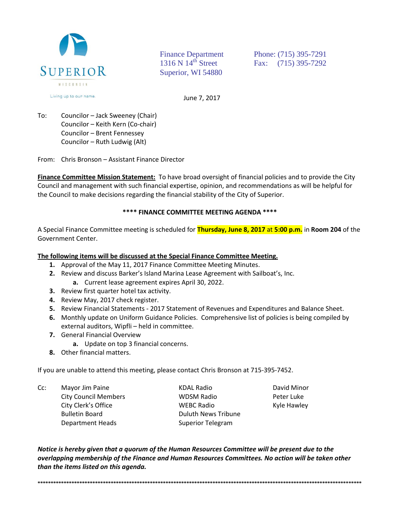

**Finance Department** 1316 N  $14<sup>th</sup>$  Street Superior, WI 54880

Phone: (715) 395-7291 Fax: (715) 395-7292

June 7, 2017

To: Councilor - Jack Sweeney (Chair) Councilor - Keith Kern (Co-chair) Councilor - Brent Fennessey Councilor - Ruth Ludwig (Alt)

From: Chris Bronson - Assistant Finance Director

Finance Committee Mission Statement: To have broad oversight of financial policies and to provide the City Council and management with such financial expertise, opinion, and recommendations as will be helpful for the Council to make decisions regarding the financial stability of the City of Superior.

## \*\*\*\* FINANCE COMMITTEE MEETING AGENDA \*\*\*\*

A Special Finance Committee meeting is scheduled for *Thursday, June 8, 2017 at 5:00 p.m.* in Room 204 of the Government Center.

## The following items will be discussed at the Special Finance Committee Meeting.

- 1. Approval of the May 11, 2017 Finance Committee Meeting Minutes.
- 2. Review and discuss Barker's Island Marina Lease Agreement with Sailboat's, Inc.
	- a. Current lease agreement expires April 30, 2022.
- 3. Review first quarter hotel tax activity.
- 4. Review May, 2017 check register.
- 5. Review Financial Statements 2017 Statement of Revenues and Expenditures and Balance Sheet.
- 6. Monthly update on Uniform Guidance Policies. Comprehensive list of policies is being compiled by external auditors. Wipfli - held in committee.
- 7. General Financial Overview
	- a. Update on top 3 financial concerns.
- 8. Other financial matters.

If you are unable to attend this meeting, please contact Chris Bronson at 715-395-7452.

 $Cc$ : Mayor Jim Paine **City Council Members** City Clerk's Office **Bulletin Board Department Heads** 

**KDAL Radio WDSM Radio WEBC Radio Duluth News Tribune Superior Telegram** 

David Minor Peter Luke Kyle Hawley

Notice is hereby given that a quorum of the Human Resources Committee will be present due to the overlapping membership of the Finance and Human Resources Committees. No action will be taken other than the items listed on this agenda.